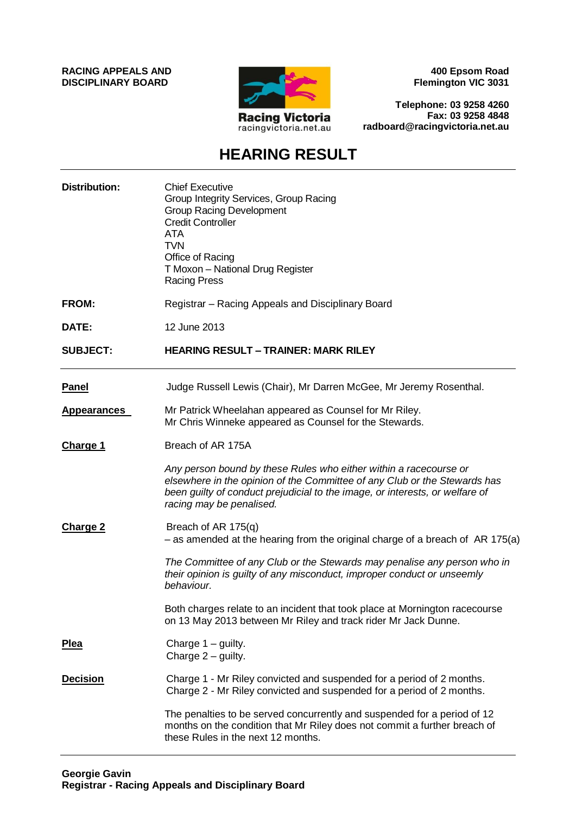**RACING APPEALS AND DISCIPLINARY BOARD**



**400 Epsom Road Flemington VIC 3031**

**Telephone: 03 9258 4260 Fax: 03 9258 4848 radboard@racingvictoria.net.au**

## **HEARING RESULT**

| <b>Distribution:</b> | <b>Chief Executive</b><br>Group Integrity Services, Group Racing<br><b>Group Racing Development</b><br><b>Credit Controller</b><br><b>ATA</b><br><b>TVN</b><br>Office of Racing<br>T Moxon - National Drug Register<br><b>Racing Press</b>                 |
|----------------------|------------------------------------------------------------------------------------------------------------------------------------------------------------------------------------------------------------------------------------------------------------|
| <b>FROM:</b>         | Registrar - Racing Appeals and Disciplinary Board                                                                                                                                                                                                          |
| DATE:                | 12 June 2013                                                                                                                                                                                                                                               |
| <b>SUBJECT:</b>      | <b>HEARING RESULT - TRAINER: MARK RILEY</b>                                                                                                                                                                                                                |
| <b>Panel</b>         | Judge Russell Lewis (Chair), Mr Darren McGee, Mr Jeremy Rosenthal.                                                                                                                                                                                         |
| <b>Appearances</b>   | Mr Patrick Wheelahan appeared as Counsel for Mr Riley.<br>Mr Chris Winneke appeared as Counsel for the Stewards.                                                                                                                                           |
| <b>Charge 1</b>      | Breach of AR 175A                                                                                                                                                                                                                                          |
|                      | Any person bound by these Rules who either within a racecourse or<br>elsewhere in the opinion of the Committee of any Club or the Stewards has<br>been guilty of conduct prejudicial to the image, or interests, or welfare of<br>racing may be penalised. |
| <b>Charge 2</b>      | Breach of AR 175(q)<br>$-$ as amended at the hearing from the original charge of a breach of AR 175(a)                                                                                                                                                     |
|                      | The Committee of any Club or the Stewards may penalise any person who in<br>their opinion is guilty of any misconduct, improper conduct or unseemly<br>behaviour.                                                                                          |
|                      | Both charges relate to an incident that took place at Mornington racecourse<br>on 13 May 2013 between Mr Riley and track rider Mr Jack Dunne.                                                                                                              |
| <b>Plea</b>          | Charge $1 -$ guilty.<br>Charge $2$ – guilty.                                                                                                                                                                                                               |
| <b>Decision</b>      | Charge 1 - Mr Riley convicted and suspended for a period of 2 months.<br>Charge 2 - Mr Riley convicted and suspended for a period of 2 months.                                                                                                             |
|                      | The penalties to be served concurrently and suspended for a period of 12<br>months on the condition that Mr Riley does not commit a further breach of<br>these Rules in the next 12 months.                                                                |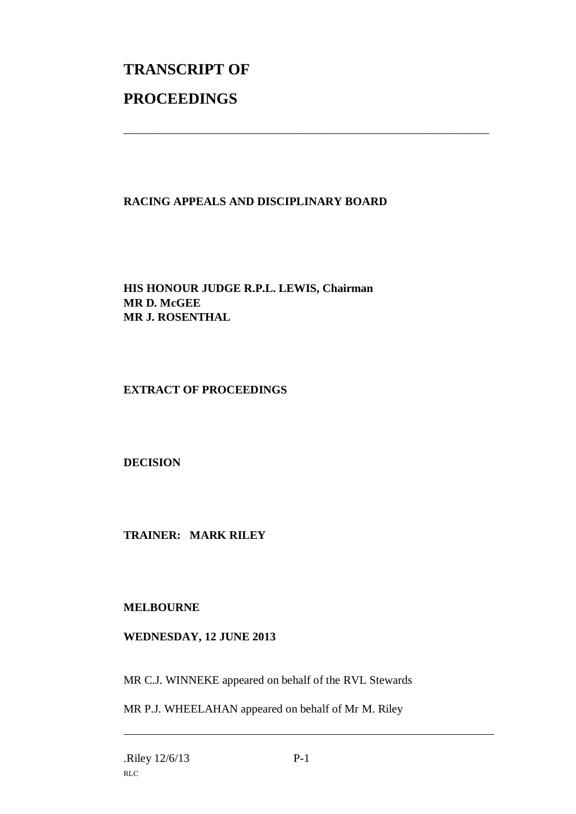## **TRANSCRIPT OF PROCEEDINGS**

## **RACING APPEALS AND DISCIPLINARY BOARD**

\_\_\_\_\_\_\_\_\_\_\_\_\_\_\_\_\_\_\_\_\_\_\_\_\_\_\_\_\_\_\_\_\_\_\_\_\_\_\_\_\_\_\_\_\_\_\_\_\_\_\_\_\_\_\_\_\_\_\_\_\_\_\_

**HIS HONOUR JUDGE R.P.L. LEWIS, Chairman MR D. McGEE MR J. ROSENTHAL**

**EXTRACT OF PROCEEDINGS**

**DECISION**

**TRAINER: MARK RILEY**

**MELBOURNE**

**WEDNESDAY, 12 JUNE 2013**

MR C.J. WINNEKE appeared on behalf of the RVL Stewards

MR P.J. WHEELAHAN appeared on behalf of Mr M. Riley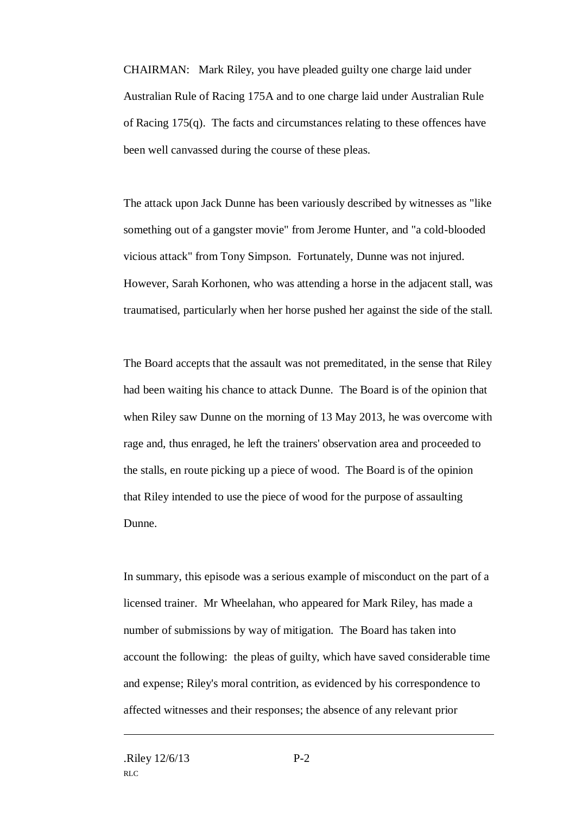CHAIRMAN: Mark Riley, you have pleaded guilty one charge laid under Australian Rule of Racing 175A and to one charge laid under Australian Rule of Racing 175(q). The facts and circumstances relating to these offences have been well canvassed during the course of these pleas.

The attack upon Jack Dunne has been variously described by witnesses as "like something out of a gangster movie" from Jerome Hunter, and "a cold-blooded vicious attack" from Tony Simpson. Fortunately, Dunne was not injured. However, Sarah Korhonen, who was attending a horse in the adjacent stall, was traumatised, particularly when her horse pushed her against the side of the stall.

The Board accepts that the assault was not premeditated, in the sense that Riley had been waiting his chance to attack Dunne. The Board is of the opinion that when Riley saw Dunne on the morning of 13 May 2013, he was overcome with rage and, thus enraged, he left the trainers' observation area and proceeded to the stalls, en route picking up a piece of wood. The Board is of the opinion that Riley intended to use the piece of wood for the purpose of assaulting Dunne.

In summary, this episode was a serious example of misconduct on the part of a licensed trainer. Mr Wheelahan, who appeared for Mark Riley, has made a number of submissions by way of mitigation. The Board has taken into account the following: the pleas of guilty, which have saved considerable time and expense; Riley's moral contrition, as evidenced by his correspondence to affected witnesses and their responses; the absence of any relevant prior